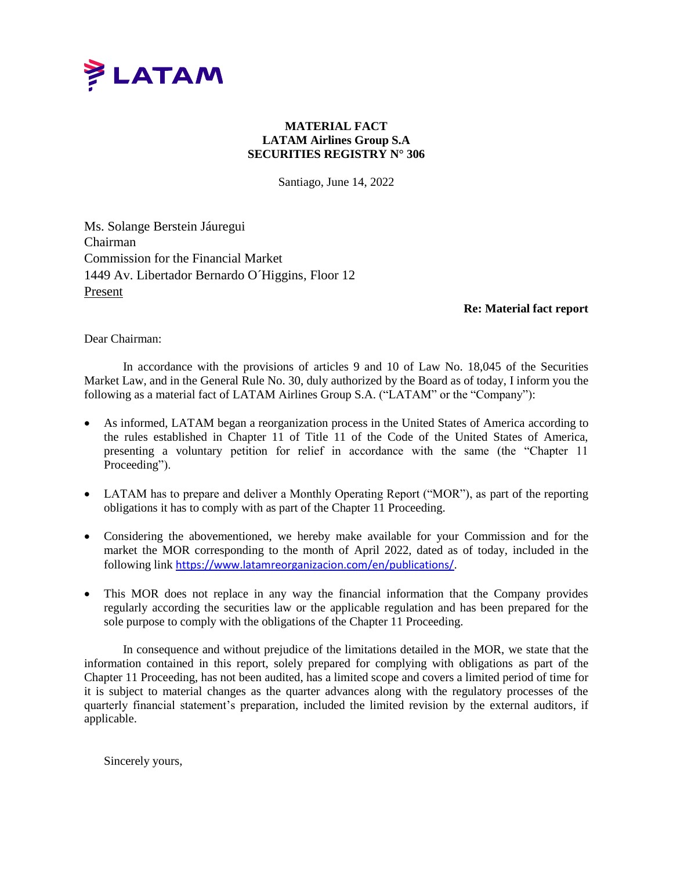

## **MATERIAL FACT LATAM Airlines Group S.A SECURITIES REGISTRY N° 306**

Santiago, June 14, 2022

Ms. Solange Berstein Jáuregui Chairman Commission for the Financial Market 1449 Av. Libertador Bernardo O´Higgins, Floor 12 Present

## **Re: Material fact report**

Dear Chairman:

In accordance with the provisions of articles 9 and 10 of Law No. 18,045 of the Securities Market Law, and in the General Rule No. 30, duly authorized by the Board as of today, I inform you the following as a material fact of LATAM Airlines Group S.A. ("LATAM" or the "Company"):

- As informed, LATAM began a reorganization process in the United States of America according to the rules established in Chapter 11 of Title 11 of the Code of the United States of America, presenting a voluntary petition for relief in accordance with the same (the "Chapter 11 Proceeding").
- LATAM has to prepare and deliver a Monthly Operating Report ("MOR"), as part of the reporting obligations it has to comply with as part of the Chapter 11 Proceeding.
- Considering the abovementioned, we hereby make available for your Commission and for the market the MOR corresponding to the month of April 2022, dated as of today, included in the following link <https://www.latamreorganizacion.com/en/publications/>.
- This MOR does not replace in any way the financial information that the Company provides regularly according the securities law or the applicable regulation and has been prepared for the sole purpose to comply with the obligations of the Chapter 11 Proceeding.

In consequence and without prejudice of the limitations detailed in the MOR, we state that the information contained in this report, solely prepared for complying with obligations as part of the Chapter 11 Proceeding, has not been audited, has a limited scope and covers a limited period of time for it is subject to material changes as the quarter advances along with the regulatory processes of the quarterly financial statement's preparation, included the limited revision by the external auditors, if applicable.

Sincerely yours,